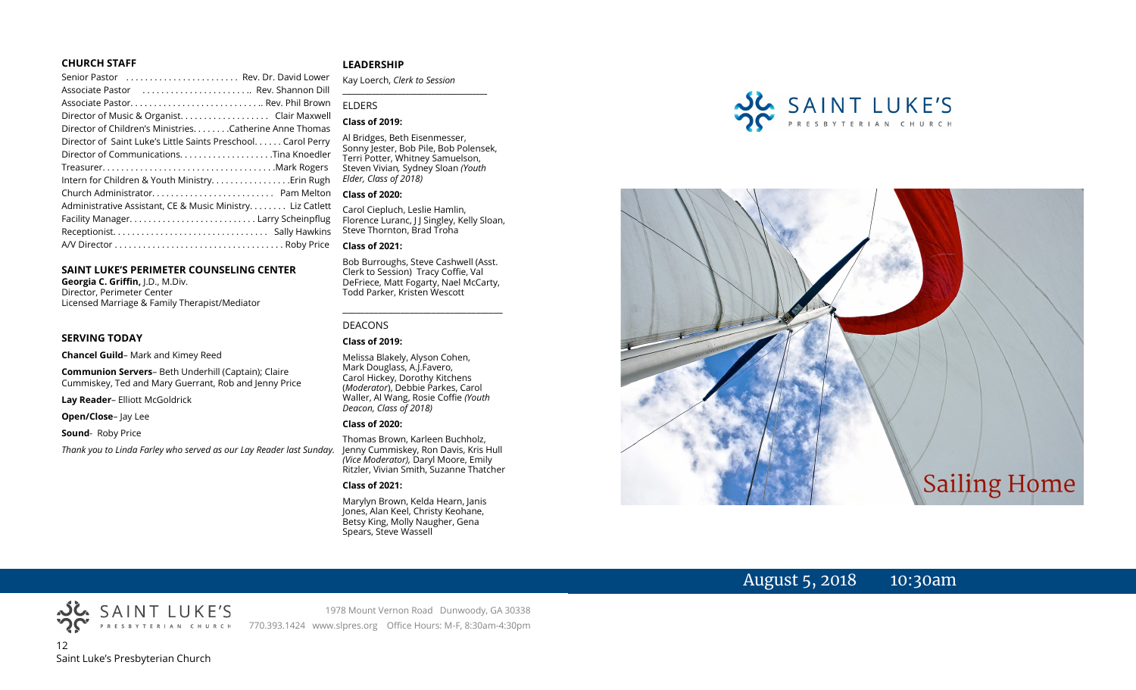#### **CHURCH STAFF**

| Senior Pastor (etc Rev. Dr. David Lower                      |
|--------------------------------------------------------------|
| Associate Pastor  Rev. Shannon Dill                          |
|                                                              |
| Director of Music & Organist. Clair Maxwell                  |
| Director of Children's Ministries. Catherine Anne Thomas     |
| Director of Saint Luke's Little Saints Preschool Carol Perry |
| Director of CommunicationsTina Knoedler                      |
|                                                              |
| Intern for Children & Youth MinistryErin Rugh                |
|                                                              |
| Administrative Assistant, CE & Music Ministry Liz Catlett    |
|                                                              |
|                                                              |
|                                                              |
|                                                              |

#### **SAINT LUKE'S PERIMETER COUNSELING CENTER**

**Georgia C. Griffin,** J.D., M.Div. Director, Perimeter Center Licensed Marriage & Family Therapist/Mediator

#### **SERVING TODAY**

**Chancel Guild**– Mark and Kimey Reed

**Communion Servers**– Beth Underhill (Captain); Claire Cummiskey, Ted and Mary Guerrant, Rob and Jenny Price

**Lay Reader**– Elliott McGoldrick

**Open/Close**– Jay Lee

**Sound**- Roby Price

*Thank you to Linda Farley who served as our Lay Reader last Sunday.*

#### **LEADERSHIP**

Kay Loerch, *Clerk to Session* 

**\_\_\_\_\_\_\_\_\_\_\_\_\_\_\_\_\_\_\_\_\_\_\_\_\_\_\_\_\_\_\_\_\_\_\_\_\_\_\_**

#### ELDERS

#### **Class of 2019:**

Al Bridges, Beth Eisenmesser, Sonny Jester, Bob Pile, Bob Polensek, Terri Potter, Whitney Samuelson, Steven Vivian*,* Sydney Sloan *(Youth Elder, Class of 2018)*

#### **Class of 2020:**

Carol Ciepluch, Leslie Hamlin, Florence Luranc, J J Singley, Kelly Sloan, Steve Thornton, Brad Troha

#### **Class of 2021:**

Bob Burroughs, Steve Cashwell (Asst. Clerk to Session) Tracy Coffie, Val DeFriece, Matt Fogarty, Nael McCarty, Todd Parker, Kristen Wescott

\_\_\_\_\_\_\_\_\_\_\_\_\_\_\_\_\_\_\_\_\_\_\_\_\_\_\_\_\_\_\_\_\_\_\_\_

#### DEACONS

#### **Class of 2019:**

Melissa Blakely, Alyson Cohen, Mark Douglass, A.J.Favero, Carol Hickey, Dorothy Kitchens (*Moderator*), Debbie Parkes, Carol Waller, Al Wang, Rosie Coffie *(Youth Deacon, Class of 2018)* 

#### **Class of 2020:**

Thomas Brown, Karleen Buchholz, Jenny Cummiskey, Ron Davis, Kris Hull *(Vice Moderator),* Daryl Moore, Emily Ritzler, Vivian Smith, Suzanne Thatcher

#### **Class of 2021:**

Marylyn Brown, Kelda Hearn, Janis Jones, Alan Keel, Christy Keohane, Betsy King, Molly Naugher, Gena Spears, Steve Wassell





# August 5, 2018 10:30am

12 Saint Luke's Presbyterian Church

1978 Mount Vernon Road Dunwoody, GA 30338 770.393.1424 www.slpres.org Office Hours: M-F, 8:30am-4:30pm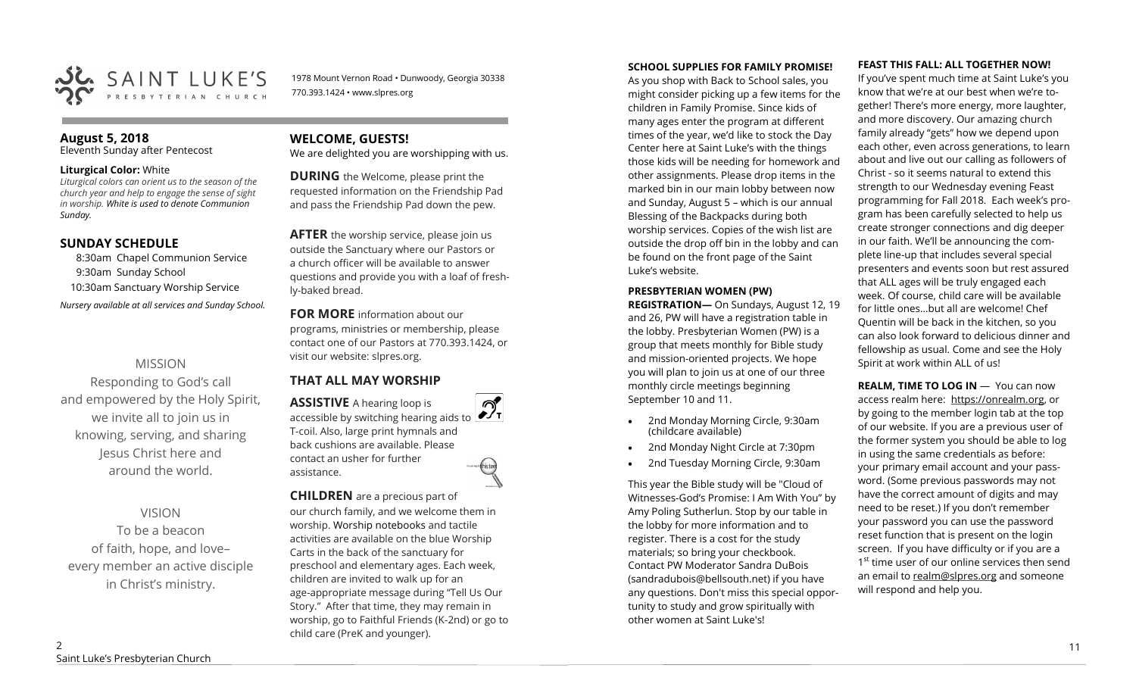

1978 Mount Vernon Road • Dunwoody, Georgia 30338 770.393.1424 • www.slpres.org

### **August 5, 2018**

Eleventh Sunday after Pentecost

#### **Liturgical Color:** White

*Liturgical colors can orient us to the season of the church year and help to engage the sense of sight in worship. White is used to denote Communion Sunday.*

## **SUNDAY SCHEDULE**

8:30am Chapel Communion Service 9:30am Sunday School 10:30am Sanctuary Worship Service *Nursery available at all services and Sunday School.* 

## MISSION

Responding to God's call and empowered by the Holy Spirit, we invite all to join us in knowing, serving, and sharing Jesus Christ here and around the world.

## VISION

To be a beacon of faith, hope, and love– every member an active disciple in Christ's ministry.

## **WELCOME, GUESTS!**

We are delighted you are worshipping with us.

**DURING** the Welcome, please print the requested information on the Friendship Pad and pass the Friendship Pad down the pew.

**AFTER** the worship service, please join us outside the Sanctuary where our Pastors or a church officer will be available to answer questions and provide you with a loaf of freshly-baked bread.

**FOR MORE** information about our programs, ministries or membership, please contact one of our Pastors at 770.393.1424, or visit our website: slpres.org.

## **THAT ALL MAY WORSHIP**

**ASSISTIVE** A hearing loop is  $\mathcal{D}_{\mathrm{r}}$ accessible by switching hearing aids to T-coil. Also, large print hymnals and back cushions are available. Please contact an usher for further assistance.

**CHILDREN** are a precious part of

our church family, and we welcome them in worship. Worship notebooks and tactile activities are available on the blue Worship Carts in the back of the sanctuary for preschool and elementary ages. Each week, children are invited to walk up for an age-appropriate message during "Tell Us Our Story." After that time, they may remain in worship, go to Faithful Friends (K-2nd) or go to child care (PreK and younger).

#### **SCHOOL SUPPLIES FOR FAMILY PROMISE!**

As you shop with Back to School sales, you might consider picking up a few items for the children in Family Promise. Since kids of many ages enter the program at different times of the year, we'd like to stock the Day Center here at Saint Luke's with the things those kids will be needing for homework and other assignments. Please drop items in the marked bin in our main lobby between now and Sunday, August 5 – which is our annual Blessing of the Backpacks during both worship services. Copies of the wish list are outside the drop off bin in the lobby and can be found on the front page of the Saint Luke's website.

#### **PRESBYTERIAN WOMEN (PW)**

**REGISTRATION—** On Sundays, August 12, 19 and 26, PW will have a registration table in the lobby. Presbyterian Women (PW) is a group that meets monthly for Bible study and mission-oriented projects. We hope you will plan to join us at one of our three monthly circle meetings beginning September 10 and 11.

- 2nd Monday Morning Circle, 9:30am (childcare available)
- 2nd Monday Night Circle at 7:30pm
- 2nd Tuesday Morning Circle, 9:30am

This year the Bible study will be "Cloud of Witnesses-God's Promise: I Am With You" by Amy Poling Sutherlun. Stop by our table in the lobby for more information and to register. There is a cost for the study materials; so bring your checkbook. Contact PW Moderator Sandra DuBois (sandradubois@bellsouth.net) if you have any questions. Don't miss this special opportunity to study and grow spiritually with other women at Saint Luke's!

#### **FEAST THIS FALL: ALL TOGETHER NOW!**

If you've spent much time at Saint Luke's you know that we're at our best when we're together! There's more energy, more laughter, and more discovery. Our amazing church family already "gets" how we depend upon each other, even across generations, to learn about and live out our calling as followers of Christ - so it seems natural to extend this strength to our Wednesday evening Feast programming for Fall 2018. Each week's program has been carefully selected to help us create stronger connections and dig deeper in our faith. We'll be announcing the complete line-up that includes several special presenters and events soon but rest assured that ALL ages will be truly engaged each week. Of course, child care will be available for little ones…but all are welcome! Chef Quentin will be back in the kitchen, so you can also look forward to delicious dinner and fellowship as usual. Come and see the Holy Spirit at work within ALL of us!

**REALM, TIME TO LOG IN - You can now** access realm here: [https://onrealm.org,](https://onrealm.org) or by going to the member login tab at the top of our website. If you are a previous user of the former system you should be able to log in using the same credentials as before: your primary email account and your password. (Some previous passwords may not have the correct amount of digits and may need to be reset.) If you don't remember your password you can use the password reset function that is present on the login screen. If you have difficulty or if you are a 1<sup>st</sup> time user of our online services then send an email to [realm@slpres.org](mailto:realm@slpres.org) and someone will respond and help you.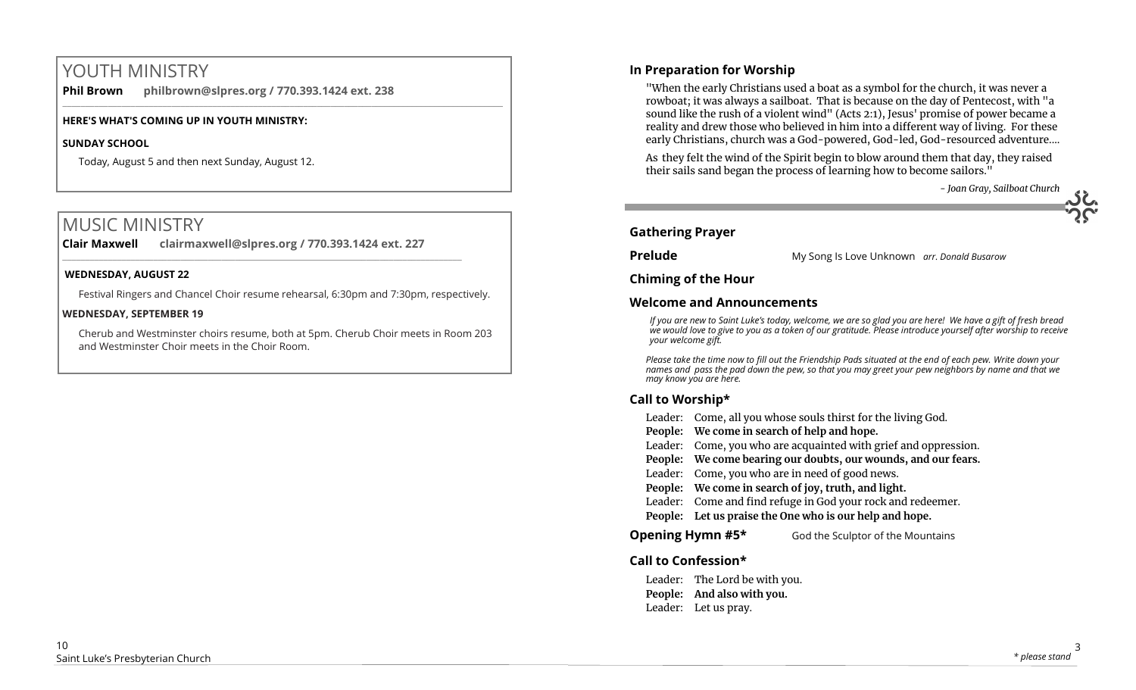# YOUTH MINISTRY

**Phil Brown philbrown@slpres.org / 770.393.1424 ext. 238**   $\_$  ,  $\_$  ,  $\_$  ,  $\_$  ,  $\_$  ,  $\_$  ,  $\_$  ,  $\_$  ,  $\_$  ,  $\_$  ,  $\_$  ,  $\_$  ,  $\_$  ,  $\_$  ,  $\_$  ,  $\_$  ,  $\_$  ,  $\_$  ,  $\_$  ,  $\_$  ,  $\_$  ,  $\_$  ,  $\_$  ,  $\_$  ,  $\_$  ,  $\_$  ,  $\_$  ,  $\_$  ,  $\_$  ,  $\_$  ,  $\_$  ,  $\_$  ,  $\_$  ,  $\_$  ,  $\_$  ,  $\_$  ,  $\_$  ,

## **HERE'S WHAT'S COMING UP IN YOUTH MINISTRY:**

## **SUNDAY SCHOOL**

Today, August 5 and then next Sunday, August 12.

# MUSIC MINISTRY

**Clair Maxwell clairmaxwell@slpres.org / 770.393.1424 ext. 227**   $\_$  , and the set of the set of the set of the set of the set of the set of the set of the set of the set of the set of the set of the set of the set of the set of the set of the set of the set of the set of the set of th

## **WEDNESDAY, AUGUST 22**

Festival Ringers and Chancel Choir resume rehearsal, 6:30pm and 7:30pm, respectively.

## **WEDNESDAY, SEPTEMBER 19**

Cherub and Westminster choirs resume, both at 5pm. Cherub Choir meets in Room 203 and Westminster Choir meets in the Choir Room.

## **In Preparation for Worship**

"When the early Christians used a boat as a symbol for the church, it was never a rowboat; it was always a sailboat. That is because on the day of Pentecost, with "a sound like the rush of a violent wind" (Acts 2:1), Jesus' promise of power became a reality and drew those who believed in him into a different way of living. For these early Christians, church was a God-powered, God-led, God-resourced adventure....

As they felt the wind of the Spirit begin to blow around them that day, they raised their sails sand began the process of learning how to become sailors."

 *- Joan Gray, Sailboat Church*

# **Gathering Prayer**

**Prelude** My Song Is Love Unknown *arr. Donald Busarow* 

## **Chiming of the Hour**

## **Welcome and Announcements**

*If you are new to Saint Luke's today, welcome, we are so glad you are here! We have a gift of fresh bread we would love to give to you as a token of our gratitude. Please introduce yourself after worship to receive your welcome gift.*

*Please take the time now to fill out the Friendship Pads situated at the end of each pew. Write down your names and pass the pad down the pew, so that you may greet your pew neighbors by name and that we may know you are here.*

## **Call to Worship\***

- Leader: Come, all you whose souls thirst for the living God.
- **People: We come in search of help and hope.**
- Leader: Come, you who are acquainted with grief and oppression.
- **People: We come bearing our doubts, our wounds, and our fears.**
- Leader: Come, you who are in need of good news.
- **People: We come in search of joy, truth, and light.**
- Leader: Come and find refuge in God your rock and redeemer.
- **People: Let us praise the One who is our help and hope.**

**Opening Hymn #5\*** God the Sculptor of the Mountains

## **Call to Confession\***

Leader: The Lord be with you. **People: And also with you.** Leader: Let us pray.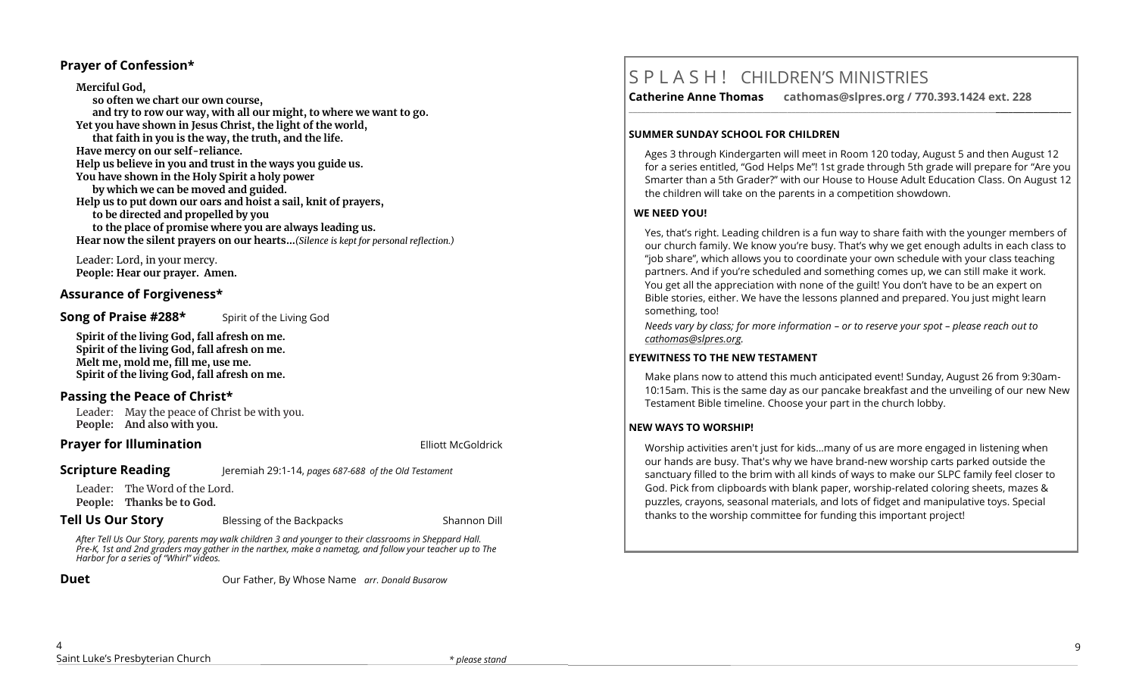## **Prayer of Confession\***

**Merciful God, so often we chart our own course, and try to row our way, with all our might, to where we want to go. Yet you have shown in Jesus Christ, the light of the world, that faith in you is the way, the truth, and the life. Have mercy on our self-reliance. Help us believe in you and trust in the ways you guide us. You have shown in the Holy Spirit a holy power by which we can be moved and guided. Help us to put down our oars and hoist a sail, knit of prayers, to be directed and propelled by you to the place of promise where you are always leading us. Hear now the silent prayers on our hearts…***(Silence is kept for personal reflection.)*

Leader: Lord, in your mercy. **People: Hear our prayer. Amen.**

## **Assurance of Forgiveness\***

**Song of Praise #288\*** Spirit of the Living God

**Spirit of the living God, fall afresh on me. Spirit of the living God, fall afresh on me. Melt me, mold me, fill me, use me. Spirit of the living God, fall afresh on me.**

## **Passing the Peace of Christ\***

Leader: May the peace of Christ be with you. **People: And also with you.** 

## **Prayer for Illumination Example 20 and Service 20 and Service 20 and Service 20 and Service 20 and Service 20 and Service 20 and Service 20 and Service 20 and Service 20 and Service 20 and Service 20 and Service 20 and**

#### **Scripture Reading** Jeremiah 29:1-14, *pages 687-688 of the Old Testament*

Leader: The Word of the Lord. **People: Thanks be to God.** 

**Tell Us Our Story** Blessing of the Backpacks **Blue Shannon Dill** Blue Backpacks **Shannon Dill** 

*After Tell Us Our Story, parents may walk children 3 and younger to their classrooms in Sheppard Hall. Pre-K, 1st and 2nd graders may gather in the narthex, make a nametag, and follow your teacher up to The Harbor for a series of "Whirl" videos.*

**Duet Constant Constant Constant Constant Constant Constant Public Property Constant Public Property Constant Public Public Public Public Public Public Public Public Public Public Public Public Public Public Public Publi** 

# S P L A S H ! CHILDREN'S MINISTRIES

**Catherine Anne Thomas cathomas@slpres.org / 770.393.1424 ext. 228 \_\_\_\_\_\_\_\_\_\_\_\_\_\_\_\_\_\_\_\_\_\_\_\_\_\_\_\_\_\_\_\_\_\_\_\_\_\_\_\_\_\_\_\_\_\_\_\_\_\_\_\_\_\_\_\_\_\_\_\_\_\_\_\_\_\_\_\_\_\_\_\_\_\_\_\_\_\_\_\_\_\_\_\_\_\_\_\_\_\_\_\_\_\_\_\_\_\_\_\_\_\_\_\_\_\_** 

#### **SUMMER SUNDAY SCHOOL FOR CHILDREN**

Ages 3 through Kindergarten will meet in Room 120 today, August 5 and then August 12 for a series entitled, "God Helps Me"! 1st grade through 5th grade will prepare for "Are you Smarter than a 5th Grader?" with our House to House Adult Education Class. On August 12 the children will take on the parents in a competition showdown.

#### **WE NEED YOU!**

Yes, that's right. Leading children is a fun way to share faith with the younger members of our church family. We know you're busy. That's why we get enough adults in each class to "job share", which allows you to coordinate your own schedule with your class teaching partners. And if you're scheduled and something comes up, we can still make it work. You get all the appreciation with none of the guilt! You don't have to be an expert on Bible stories, either. We have the lessons planned and prepared. You just might learn something, too!

*Needs vary by class; for more information – or to reserve your spot – please reach out to [cathomas@slpres.org.](mailto:cathomas@slpres.org)*

#### **EYEWITNESS TO THE NEW TESTAMENT**

Make plans now to attend this much anticipated event! Sunday, August 26 from 9:30am-10:15am. This is the same day as our pancake breakfast and the unveiling of our new New Testament Bible timeline. Choose your part in the church lobby.

#### **NEW WAYS TO WORSHIP!**

Worship activities aren't just for kids...many of us are more engaged in listening when our hands are busy. That's why we have brand-new worship carts parked outside the sanctuary filled to the brim with all kinds of ways to make our SLPC family feel closer to God. Pick from clipboards with blank paper, worship-related coloring sheets, mazes & puzzles, crayons, seasonal materials, and lots of fidget and manipulative toys. Special thanks to the worship committee for funding this important project!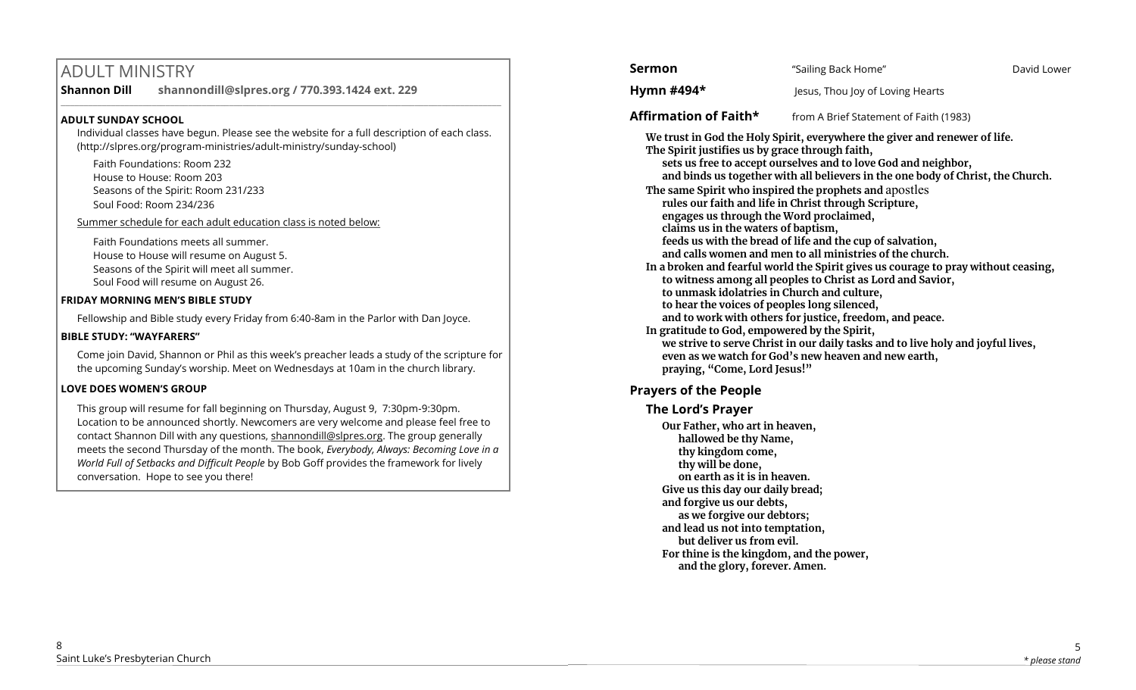# ADULT MINISTRY

**Shannon Dill shannondill@slpres.org / 770.393.1424 ext. 229**   $\_$  ,  $\_$  ,  $\_$  ,  $\_$  ,  $\_$  ,  $\_$  ,  $\_$  ,  $\_$  ,  $\_$  ,  $\_$  ,  $\_$  ,  $\_$  ,  $\_$  ,  $\_$  ,  $\_$  ,  $\_$  ,  $\_$  ,  $\_$  ,  $\_$ 

## **ADULT SUNDAY SCHOOL**

Individual classes have begun. Please see the website for a full description of each class. (http://slpres.org/program-ministries/adult-ministry/sunday-school)

Faith Foundations: Room 232 House to House: Room 203 Seasons of the Spirit: Room 231/233 Soul Food: Room 234/236

Summer schedule for each adult education class is noted below:

Faith Foundations meets all summer. House to House will resume on August 5. Seasons of the Spirit will meet all summer. Soul Food will resume on August 26.

## **FRIDAY MORNING MEN'S BIBLE STUDY**

Fellowship and Bible study every Friday from 6:40-8am in the Parlor with Dan Joyce.

## **BIBLE STUDY: "WAYFARERS"**

Come join David, Shannon or Phil as this week's preacher leads a study of the scripture for the upcoming Sunday's worship. Meet on Wednesdays at 10am in the church library.

## **LOVE DOES WOMEN'S GROUP**

This group will resume for fall beginning on Thursday, August 9, 7:30pm-9:30pm. Location to be announced shortly. Newcomers are very welcome and please feel free to contact Shannon Dill with any questions, shannondill@slpres.org. The group generally meets the second Thursday of the month. The book, *Everybody, Always: Becoming Love in a World Full of Setbacks and Difficult People* by Bob Goff provides the framework for lively conversation. Hope to see you there!

| Sermon                                                                                                                                                                                                                                                                                                                                                                                                                                                                                                                                                                                                                                                                                                                                                                                                                                                                                                                                                                                                                                                                                                                                                      | "Sailing Back Home"                    | David Lower |
|-------------------------------------------------------------------------------------------------------------------------------------------------------------------------------------------------------------------------------------------------------------------------------------------------------------------------------------------------------------------------------------------------------------------------------------------------------------------------------------------------------------------------------------------------------------------------------------------------------------------------------------------------------------------------------------------------------------------------------------------------------------------------------------------------------------------------------------------------------------------------------------------------------------------------------------------------------------------------------------------------------------------------------------------------------------------------------------------------------------------------------------------------------------|----------------------------------------|-------------|
| Hymn #494*                                                                                                                                                                                                                                                                                                                                                                                                                                                                                                                                                                                                                                                                                                                                                                                                                                                                                                                                                                                                                                                                                                                                                  | Jesus, Thou Joy of Loving Hearts       |             |
| Affirmation of Faith*                                                                                                                                                                                                                                                                                                                                                                                                                                                                                                                                                                                                                                                                                                                                                                                                                                                                                                                                                                                                                                                                                                                                       | from A Brief Statement of Faith (1983) |             |
| We trust in God the Holy Spirit, everywhere the giver and renewer of life.<br>The Spirit justifies us by grace through faith,<br>sets us free to accept ourselves and to love God and neighbor,<br>and binds us together with all believers in the one body of Christ, the Church.<br>The same Spirit who inspired the prophets and apostles<br>rules our faith and life in Christ through Scripture,<br>engages us through the Word proclaimed,<br>claims us in the waters of baptism,<br>feeds us with the bread of life and the cup of salvation,<br>and calls women and men to all ministries of the church.<br>In a broken and fearful world the Spirit gives us courage to pray without ceasing,<br>to witness among all peoples to Christ as Lord and Savior,<br>to unmask idolatries in Church and culture,<br>to hear the voices of peoples long silenced,<br>and to work with others for justice, freedom, and peace.<br>In gratitude to God, empowered by the Spirit,<br>we strive to serve Christ in our daily tasks and to live holy and joyful lives,<br>even as we watch for God's new heaven and new earth,<br>praying, "Come, Lord Jesus!" |                                        |             |

## **Prayers of the People**

## **The Lord's Prayer**

**Our Father, who art in heaven, hallowed be thy Name, thy kingdom come, thy will be done, on earth as it is in heaven. Give us this day our daily bread; and forgive us our debts, as we forgive our debtors; and lead us not into temptation, but deliver us from evil. For thine is the kingdom, and the power, and the glory, forever. Amen.**